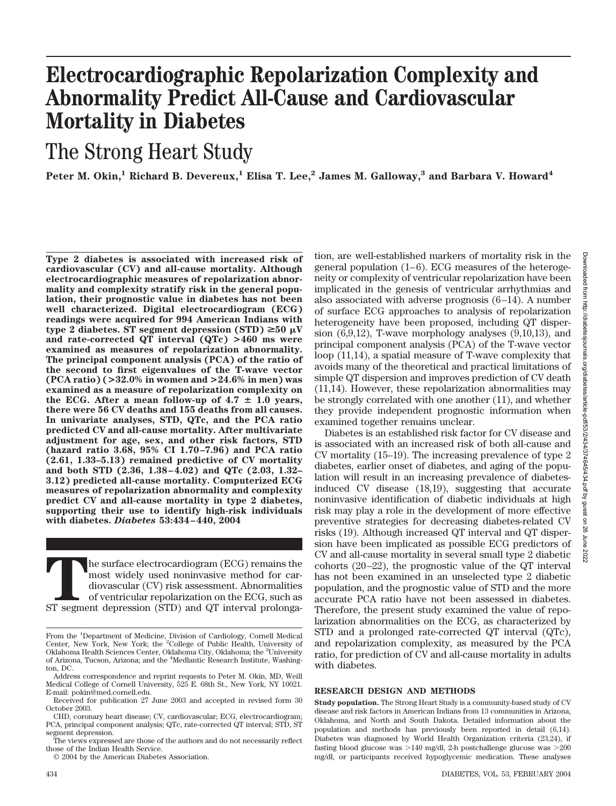# **Electrocardiographic Repolarization Complexity and Abnormality Predict All-Cause and Cardiovascular Mortality in Diabetes**

## The Strong Heart Study

Peter M. Okin,<sup>1</sup> Richard B. Devereux,<sup>1</sup> Elisa T. Lee,<sup>2</sup> James M. Galloway,<sup>3</sup> and Barbara V. Howard<sup>4</sup>

**Type 2 diabetes is associated with increased risk of cardiovascular (CV) and all-cause mortality. Although electrocardiographic measures of repolarization abnormality and complexity stratify risk in the general population, their prognostic value in diabetes has not been well characterized. Digital electrocardiogram (ECG) readings were acquired for 994 American Indians with**  $\tt type 2 diabetes. ST segment depression (STD) \geq 50 \mu V$ **and rate-corrected QT interval (QTc) >460 ms were examined as measures of repolarization abnormality. The principal component analysis (PCA) of the ratio of the second to first eigenvalues of the T-wave vector (PCA ratio) (>32.0% in women and >24.6% in men) was examined as a measure of repolarization complexity on** the ECG. After a mean follow-up of  $4.7 \pm 1.0$  years, **there were 56 CV deaths and 155 deaths from all causes. In univariate analyses, STD, QTc, and the PCA ratio predicted CV and all-cause mortality. After multivariate adjustment for age, sex, and other risk factors, STD (hazard ratio 3.68, 95% CI 1.70–7.96) and PCA ratio (2.61, 1.33–5.13) remained predictive of CV mortality and both STD (2.36, 1.38–4.02) and QTc (2.03, 1.32– 3.12) predicted all-cause mortality. Computerized ECG measures of repolarization abnormality and complexity predict CV and all-cause mortality in type 2 diabetes, supporting their use to identify high-risk individuals with diabetes.** *Diabetes* **53:434–440, 2004**

The surface electrocardiogram (ECG) remains the most widely used noninvasive method for cardiovascular (CV) risk assessment. Abnormalities of ventricular repolarization on the ECG, such as ST segment depression (STD) and Q most widely used noninvasive method for cardiovascular (CV) risk assessment. Abnormalities of ventricular repolarization on the ECG, such as

© 2004 by the American Diabetes Association.

tion, are well-established markers of mortality risk in the general population (1–6). ECG measures of the heterogeneity or complexity of ventricular repolarization have been implicated in the genesis of ventricular arrhythmias and also associated with adverse prognosis (6–14). A number of surface ECG approaches to analysis of repolarization heterogeneity have been proposed, including QT dispersion (6,9,12), T-wave morphology analyses (9,10,13), and principal component analysis (PCA) of the T-wave vector loop (11,14), a spatial measure of T-wave complexity that avoids many of the theoretical and practical limitations of simple QT dispersion and improves prediction of CV death (11,14). However, these repolarization abnormalities may be strongly correlated with one another (11), and whether they provide independent prognostic information when examined together remains unclear.

Diabetes is an established risk factor for CV disease and is associated with an increased risk of both all-cause and CV mortality (15–19). The increasing prevalence of type 2 diabetes, earlier onset of diabetes, and aging of the population will result in an increasing prevalence of diabetesinduced CV disease (18,19), suggesting that accurate noninvasive identification of diabetic individuals at high risk may play a role in the development of more effective preventive strategies for decreasing diabetes-related CV risks (19). Although increased QT interval and QT dispersion have been implicated as possible ECG predictors of CV and all-cause mortality in several small type 2 diabetic cohorts (20–22), the prognostic value of the QT interval has not been examined in an unselected type 2 diabetic population, and the prognostic value of STD and the more accurate PCA ratio have not been assessed in diabetes. Therefore, the present study examined the value of repolarization abnormalities on the ECG, as characterized by STD and a prolonged rate-corrected QT interval (QTc), and repolarization complexity, as measured by the PCA ratio, for prediction of CV and all-cause mortality in adults with diabetes.

#### **RESEARCH DESIGN AND METHODS**

**Study population.** The Strong Heart Study is a community-based study of CV disease and risk factors in American Indians from 13 communities in Arizona, Oklahoma, and North and South Dakota. Detailed information about the population and methods has previously been reported in detail (6,14). Diabetes was diagnosed by World Health Organization criteria (23,24), if fasting blood glucose was  $>140$  mg/dl, 2-h postchallenge glucose was  $>200$ mg/dl, or participants received hypoglycemic medication. These analyses

From the <sup>1</sup>Department of Medicine, Division of Cardiology, Cornell Medical Center, New York, New York; the <sup>2</sup>College of Public Health, University of Oklahoma Health Sciences Center, Oklahoma City, Oklahoma; the <sup>3</sup>University of Arizona, Tucson, Arizona; and the <sup>4</sup>Medlantic Research Institute, Washington, DC.

Address correspondence and reprint requests to Peter M. Okin, MD, Weill Medical College of Cornell University, 525 E. 68th St., New York, NY 10021. E-mail: pokin@med.cornell.edu.

Received for publication 27 June 2003 and accepted in revised form 30 October 2003.

CHD, coronary heart disease; CV, cardiovascular; ECG, electrocardiogram; PCA, principal component analysis; QTc, rate-corrected QT interval; STD, ST segment depression.

The views expressed are those of the authors and do not necessarily reflect those of the Indian Health Service.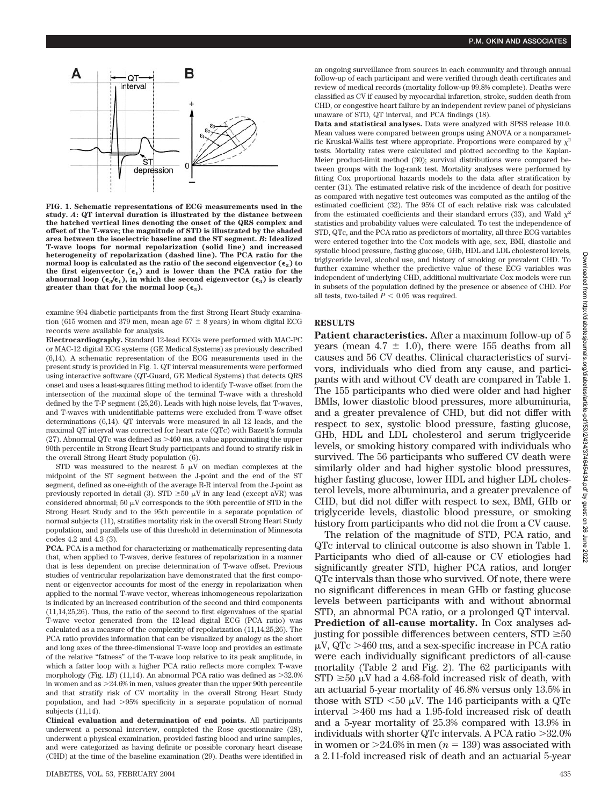

**FIG. 1. Schematic representations of ECG measurements used in the study.** *A***: QT interval duration is illustrated by the distance between the hatched vertical lines denoting the onset of the QRS complex and offset of the T-wave; the magnitude of STD is illustrated by the shaded area between the isoelectric baseline and the ST segment.** *B***: Idealized T-wave loops for normal repolarization (solid line) and increased heterogeneity of repolarization (dashed line). The PCA ratio for the normal loop is calculated as the ratio of the second eigenvector**  $(\epsilon_2)$  **to** the first eigenvector  $(\epsilon_1)$  and is lower than the PCA ratio for the abnormal loop  $(\epsilon_3/\epsilon_1)$ , in which the second eigenvector  $(\epsilon_3)$  is clearly **greater than that for the normal loop**  $(\epsilon_2)$ **.** 

examine 994 diabetic participants from the first Strong Heart Study examination (615 women and 379 men, mean age  $57 \pm 8$  years) in whom digital ECG records were available for analysis.

**Electrocardiography.** Standard 12-lead ECGs were performed with MAC-PC or MAC-12 digital ECG systems (GE Medical Systems) as previously described (6,14). A schematic representation of the ECG measurements used in the present study is provided in Fig. 1. QT interval measurements were performed using interactive software (QT-Guard, GE Medical Systems) that detects QRS onset and uses a least-squares fitting method to identify T-wave offset from the intersection of the maximal slope of the terminal T-wave with a threshold defined by the T-P segment (25,26). Leads with high noise levels, flat T-waves, and T-waves with unidentifiable patterns were excluded from T-wave offset determinations (6,14). QT intervals were measured in all 12 leads, and the maximal QT interval was corrected for heart rate (QTc) with Bazett's formula (27). Abnormal QTc was defined as  $>460$  ms, a value approximating the upper 90th percentile in Strong Heart Study participants and found to stratify risk in the overall Strong Heart Study population (6).

STD was measured to the nearest 5  $\mu\mathrm{V}$  on median complexes at the midpoint of the ST segment between the J-point and the end of the ST segment, defined as one-eighth of the average R-R interval from the J-point as previously reported in detail (3). STD  $\geq$ 50  $\mu$ V in any lead (except aVR) was considered abnormal; 50  $\mu$ V corresponds to the 90th percentile of STD in the Strong Heart Study and to the 95th percentile in a separate population of normal subjects (11), stratifies mortality risk in the overall Strong Heart Study population, and parallels use of this threshold in determination of Minnesota codes 4.2 and 4.3 (3).

**PCA.** PCA is a method for characterizing or mathematically representing data that, when applied to T-waves, derive features of repolarization in a manner that is less dependent on precise determination of T-wave offset. Previous studies of ventricular repolarization have demonstrated that the first component or eigenvector accounts for most of the energy in repolarization when applied to the normal T-wave vector, whereas inhomogeneous repolarization is indicated by an increased contribution of the second and third components (11,14,25,26). Thus, the ratio of the second to first eigenvalues of the spatial T-wave vector generated from the 12-lead digital ECG (PCA ratio) was calculated as a measure of the complexity of repolarization (11,14,25,26). The PCA ratio provides information that can be visualized by analogy as the short and long axes of the three-dimensional T-wave loop and provides an estimate of the relative "fatness" of the T-wave loop relative to its peak amplitude, in which a fatter loop with a higher PCA ratio reflects more complex T-wave morphology (Fig. 1*B*) (11,14). An abnormal PCA ratio was defined as  $>32.0\%$ in women and as 24.6% in men, values greater than the upper 90th percentile and that stratify risk of CV mortality in the overall Strong Heart Study population, and had 95% specificity in a separate population of normal subjects (11,14).

**Clinical evaluation and determination of end points.** All participants underwent a personal interview, completed the Rose questionnaire (28), underwent a physical examination, provided fasting blood and urine samples, and were categorized as having definite or possible coronary heart disease (CHD) at the time of the baseline examination (29). Deaths were identified in an ongoing surveillance from sources in each community and through annual follow-up of each participant and were verified through death certificates and review of medical records (mortality follow-up 99.8% complete). Deaths were classified as CV if caused by myocardial infarction, stroke, sudden death from CHD, or congestive heart failure by an independent review panel of physicians unaware of STD, QT interval, and PCA findings (18).

**Data and statistical analyses.** Data were analyzed with SPSS release 10.0. Mean values were compared between groups using ANOVA or a nonparametric Kruskal-Wallis test where appropriate. Proportions were compared by  $\chi^2$ tests. Mortality rates were calculated and plotted according to the Kaplan-Meier product-limit method (30); survival distributions were compared between groups with the log-rank test. Mortality analyses were performed by fitting Cox proportional hazards models to the data after stratification by center (31). The estimated relative risk of the incidence of death for positive as compared with negative test outcomes was computed as the antilog of the estimated coefficient (32). The 95% CI of each relative risk was calculated from the estimated coefficients and their standard errors (33), and Wald  $\chi^2$ statistics and probability values were calculated. To test the independence of STD, QTc, and the PCA ratio as predictors of mortality, all three ECG variables were entered together into the Cox models with age, sex, BMI, diastolic and systolic blood pressure, fasting glucose, GHb, HDL and LDL cholesterol levels, triglyceride level, alcohol use, and history of smoking or prevalent CHD. To further examine whether the predictive value of these ECG variables was independent of underlying CHD, additional multivariate Cox models were run in subsets of the population defined by the presence or absence of CHD. For all tests, two-tailed  $P < 0.05$  was required.

### **RESULTS**

**Patient characteristics.** After a maximum follow-up of 5 years (mean  $4.7 \pm 1.0$ ), there were 155 deaths from all causes and 56 CV deaths. Clinical characteristics of survivors, individuals who died from any cause, and participants with and without CV death are compared in Table 1. The 155 participants who died were older and had higher BMIs, lower diastolic blood pressures, more albuminuria, and a greater prevalence of CHD, but did not differ with respect to sex, systolic blood pressure, fasting glucose, GHb, HDL and LDL cholesterol and serum triglyceride levels, or smoking history compared with individuals who survived. The 56 participants who suffered CV death were similarly older and had higher systolic blood pressures, higher fasting glucose, lower HDL and higher LDL cholesterol levels, more albuminuria, and a greater prevalence of CHD, but did not differ with respect to sex, BMI, GHb or triglyceride levels, diastolic blood pressure, or smoking history from participants who did not die from a CV cause.

The relation of the magnitude of STD, PCA ratio, and QTc interval to clinical outcome is also shown in Table 1. Participants who died of all-cause or CV etiologies had significantly greater STD, higher PCA ratios, and longer QTc intervals than those who survived. Of note, there were no significant differences in mean GHb or fasting glucose levels between participants with and without abnormal STD, an abnormal PCA ratio, or a prolonged QT interval. **Prediction of all-cause mortality.** In Cox analyses adjusting for possible differences between centers,  $STD \ge 50$  $\mu$ V, QTc  $>$ 460 ms, and a sex-specific increase in PCA ratio were each individually significant predictors of all-cause mortality (Table 2 and Fig. 2). The 62 participants with  $STD \geq 50 \mu V$  had a 4.68-fold increased risk of death, with an actuarial 5-year mortality of 46.8% versus only 13.5% in those with STD  $<$  50  $\mu$ V. The 146 participants with a QTc interval  $>460$  ms had a 1.95-fold increased risk of death and a 5-year mortality of 25.3% compared with 13.9% in individuals with shorter QTc intervals. A PCA ratio  $>32.0\%$ in women or  $>24.6\%$  in men ( $n = 139$ ) was associated with a 2.11-fold increased risk of death and an actuarial 5-year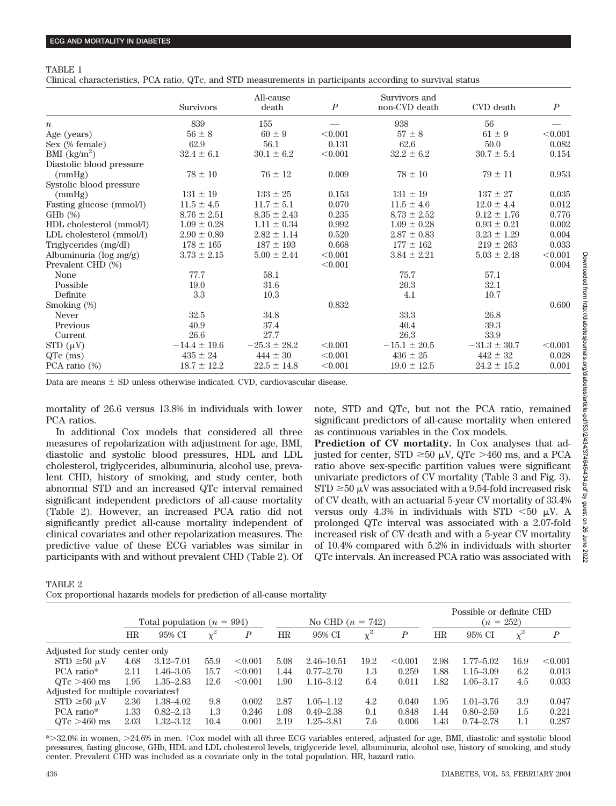### TABLE 1

Clinical characteristics, PCA ratio, QTc, and STD measurements in participants according to survival status

|                                    | <b>Survivors</b> | All-cause<br>death | $\boldsymbol{P}$ | Survivors and<br>non-CVD death | CVD death        | $\boldsymbol{P}$ |
|------------------------------------|------------------|--------------------|------------------|--------------------------------|------------------|------------------|
|                                    |                  | 155                |                  |                                | 56               |                  |
| $\it n$                            | 839              |                    |                  | 938                            |                  |                  |
| Age (years)                        | $56 \pm 8$       | $60 \pm 9$         | < 0.001          | $57 \pm 8$                     | $61 \pm 9$       | < 0.001          |
| Sex (% female)                     | 62.9             | 56.1               | 0.131            | 62.6                           | 50.0             | 0.082            |
| BMI $\frac{\text{kg}}{\text{m}^2}$ | $32.4 \pm 6.1$   | $30.1 \pm 6.2$     | < 0.001          | $32.2 \pm 6.2$                 | $30.7 \pm 5.4$   | 0.154            |
| Diastolic blood pressure           |                  |                    |                  |                                |                  |                  |
| (mmHg)                             | $78 \pm 10$      | $76 \pm 12$        | 0.009            | $78 \pm 10$                    | $79 \pm 11$      | 0.953            |
| Systolic blood pressure            |                  |                    |                  |                                |                  |                  |
| (mmHg)                             | $131 \pm 19$     | $133 \pm 25$       | 0.153            | $131 \pm 19$                   | $137 \pm 27$     | 0.035            |
| Fasting glucose (mmol/l)           | $11.5 \pm 4.5$   | $11.7 \pm 5.1$     | 0.070            | $11.5 \pm 4.6$                 | $12.0 \pm 4.4$   | 0.012            |
| $GHD(\%)$                          | $8.76 \pm 2.51$  | $8.35 \pm 2.43$    | 0.235            | $8.73 \pm 2.52$                | $9.12 \pm 1.76$  | 0.776            |
| HDL cholesterol (mmol/l)           | $1.09 \pm 0.28$  | $1.11 \pm 0.34$    | 0.992            | $1.09 \pm 0.28$                | $0.93 \pm 0.21$  | 0.002            |
| LDL cholesterol (mmol/l)           | $2.90 \pm 0.80$  | $2.82 \pm 1.14$    | 0.520            | $2.87 \pm 0.83$                | $3.23 \pm 1.29$  | 0.004            |
| Triglycerides (mg/dl)              | $178 \pm 165$    | $187 \pm 193$      | 0.668            | $177 \pm 162$                  | $219 \pm 263$    | 0.033            |
| Albuminuria ( $log mg/g$ )         | $3.73 \pm 2.15$  | $5.00 \pm 2.44$    | < 0.001          | $3.84 \pm 2.21$                | $5.03 \pm 2.48$  | < 0.001          |
| Prevalent CHD (%)                  |                  |                    | < 0.001          |                                |                  | 0.004            |
| None                               | 77.7             | 58.1               |                  | 75.7                           | 57.1             |                  |
| Possible                           | 19.0             | 31.6               |                  | 20.3                           | 32.1             |                  |
| Definite                           | 3.3              | 10.3               |                  | 4.1                            | 10.7             |                  |
| Smoking (%)                        |                  |                    | 0.832            |                                |                  | 0.600            |
| Never                              | 32.5             | 34.8               |                  | 33.3                           | 26.8             |                  |
| Previous                           | 40.9             | 37.4               |                  | 40.4                           | 39.3             |                  |
| Current                            | 26.6             | 27.7               |                  | 26.3                           | 33.9             |                  |
| $STD(\mu V)$                       | $-14.4 \pm 19.6$ | $-25.3 \pm 28.2$   | < 0.001          | $-15.1 \pm 20.5$               | $-31.3 \pm 30.7$ | < 0.001          |
| $QTe$ (ms)                         | $435 \pm 24$     | $444 \pm 30$       | < 0.001          | $436 \pm 25$                   | $442 \pm 32$     | 0.028            |
| PCA ratio (%)                      | $18.7 \pm 12.2$  | $22.5 \pm 14.8$    | < 0.001          | $19.0 \pm 12.5$                | $24.2 \pm 15.2$  | 0.001            |

Data are means  $\pm$  SD unless otherwise indicated. CVD, cardiovascular disease.

mortality of 26.6 versus 13.8% in individuals with lower PCA ratios.

In additional Cox models that considered all three measures of repolarization with adjustment for age, BMI, diastolic and systolic blood pressures, HDL and LDL cholesterol, triglycerides, albuminuria, alcohol use, prevalent CHD, history of smoking, and study center, both abnormal STD and an increased QTc interval remained significant independent predictors of all-cause mortality (Table 2). However, an increased PCA ratio did not significantly predict all-cause mortality independent of clinical covariates and other repolarization measures. The predictive value of these ECG variables was similar in participants with and without prevalent CHD (Table 2). Of note, STD and QTc, but not the PCA ratio, remained significant predictors of all-cause mortality when entered as continuous variables in the Cox models.

**Prediction of CV mortality.** In Cox analyses that adjusted for center, STD  $\geq 50 \mu V$ , QTc  $> 460 \text{ ms}$ , and a PCA ratio above sex-specific partition values were significant univariate predictors of CV mortality (Table 3 and Fig. 3).  $STD \ge 50 \mu V$  was associated with a 9.54-fold increased risk of CV death, with an actuarial 5-year CV mortality of 33.4% versus only 4.3% in individuals with STD  $<$  50  $\mu$ V. A prolonged QTc interval was associated with a 2.07-fold increased risk of CV death and with a 5-year CV mortality of 10.4% compared with 5.2% in individuals with shorter QTc intervals. An increased PCA ratio was associated with

TABLE 2

| Cox proportional hazards models for prediction of all-cause mortality |  |  |  |  |  |  |  |  |  |
|-----------------------------------------------------------------------|--|--|--|--|--|--|--|--|--|
|-----------------------------------------------------------------------|--|--|--|--|--|--|--|--|--|

|                                               |      |                                |          |                  |      |                    |          |         |             | Possible or definite CHD |          |                  |
|-----------------------------------------------|------|--------------------------------|----------|------------------|------|--------------------|----------|---------|-------------|--------------------------|----------|------------------|
|                                               |      | Total population ( $n = 994$ ) |          |                  |      | No CHD $(n = 742)$ |          |         |             | $(n = 252)$              |          |                  |
|                                               | HR   | 95% CI                         | $\chi^2$ | $\boldsymbol{P}$ | HR   | 95% CI             | $\chi^2$ | Ρ       | $_{\rm HR}$ | 95% CI                   | $\chi^2$ | $\boldsymbol{P}$ |
| Adjusted for study center only                |      |                                |          |                  |      |                    |          |         |             |                          |          |                  |
| $STD \ge 50 \text{ mV}$                       | 4.68 | $3.12 - 7.01$                  | 55.9     | < 0.001          | 5.08 | $2.46 - 10.51$     | 19.2     | < 0.001 | 2.98        | $1.77 - 5.02$            | 16.9     | < 0.001          |
| PCA ratio*                                    | 2.11 | $1.46 - 3.05$                  | 15.7     | < 0.001          | 1.44 | $0.77 - 2.70$      | 1.3      | 0.259   | 1.88        | $1.15 - 3.09$            | 6.2      | 0.013            |
| $QTc > 460$ ms                                | 1.95 | $1.35 - 2.83$                  | 12.6     | < 0.001          | 1.90 | $1.16 - 3.12$      | 6.4      | 0.011   | 1.82        | $1.05 - 3.17$            | 4.5      | 0.033            |
| Adjusted for multiple covariates <sup>†</sup> |      |                                |          |                  |      |                    |          |         |             |                          |          |                  |
| $STD \ge 50 \mu V$                            | 2.36 | 1.38–4.02                      | 9.8      | 0.002            | 2.87 | $1.05 - 1.12$      | 4.2      | 0.040   | 1.95        | $1.01 - 3.76$            | 3.9      | 0.047            |
| PCA ratio*                                    | 1.33 | $0.82 - 2.13$                  | 1.3      | 0.246            | 1.08 | $0.49 - 2.38$      | 0.1      | 0.848   | 1.44        | $0.80 - 2.59$            | 1.5      | 0.221            |
| $QTc > 460$ ms                                | 2.03 | $1.32 - 3.12$                  | 10.4     | 0.001            | 2.19 | $1.25 - 3.81$      | 7.6      | 0.006   | 1.43        | $0.74 - 2.78$            | 1.1      | 0.287            |

\*32.0% in women, 24.6% in men. †Cox model with all three ECG variables entered, adjusted for age, BMI, diastolic and systolic blood pressures, fasting glucose, GHb, HDL and LDL cholesterol levels, triglyceride level, albuminuria, alcohol use, history of smoking, and study center. Prevalent CHD was included as a covariate only in the total population. HR, hazard ratio.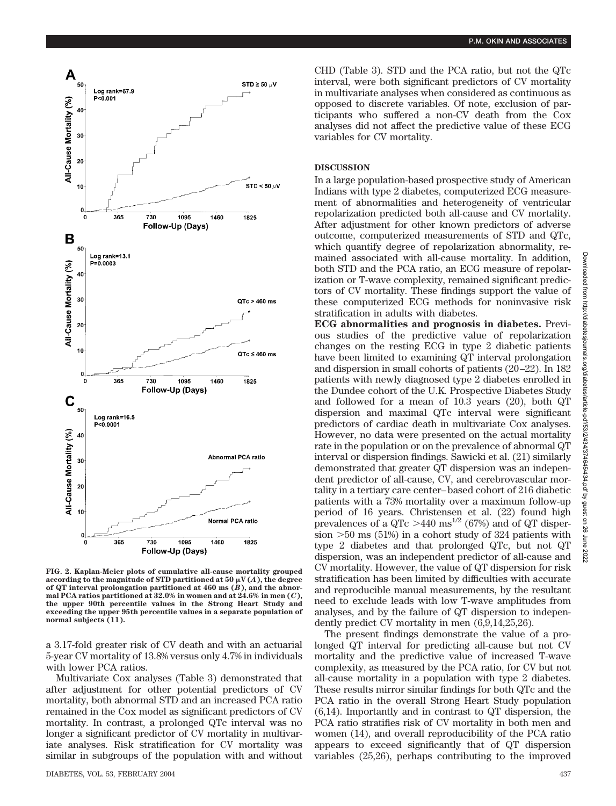

**FIG. 2. Kaplan-Meier plots of cumulative all-cause mortality grouped** according to the magnitude of STD partitioned at 50  $\mu$ V(*A*), the degree **of QT interval prolongation partitioned at 460 ms (***B***), and the abnormal PCA ratios partitioned at 32.0% in women and at 24.6% in men (***C***), the upper 90th percentile values in the Strong Heart Study and exceeding the upper 95th percentile values in a separate population of normal subjects (11).**

a 3.17-fold greater risk of CV death and with an actuarial 5-year CV mortality of 13.8% versus only 4.7% in individuals with lower PCA ratios.

Multivariate Cox analyses (Table 3) demonstrated that after adjustment for other potential predictors of CV mortality, both abnormal STD and an increased PCA ratio remained in the Cox model as significant predictors of CV mortality. In contrast, a prolonged QTc interval was no longer a significant predictor of CV mortality in multivariate analyses. Risk stratification for CV mortality was similar in subgroups of the population with and without CHD (Table 3). STD and the PCA ratio, but not the QTc interval, were both significant predictors of CV mortality in multivariate analyses when considered as continuous as opposed to discrete variables. Of note, exclusion of participants who suffered a non-CV death from the Cox analyses did not affect the predictive value of these ECG variables for CV mortality.

## **DISCUSSION**

In a large population-based prospective study of American Indians with type 2 diabetes, computerized ECG measurement of abnormalities and heterogeneity of ventricular repolarization predicted both all-cause and CV mortality. After adjustment for other known predictors of adverse outcome, computerized measurements of STD and QTc, which quantify degree of repolarization abnormality, remained associated with all-cause mortality. In addition, both STD and the PCA ratio, an ECG measure of repolarization or T-wave complexity, remained significant predictors of CV mortality. These findings support the value of these computerized ECG methods for noninvasive risk stratification in adults with diabetes.

**ECG abnormalities and prognosis in diabetes.** Previous studies of the predictive value of repolarization changes on the resting ECG in type 2 diabetic patients have been limited to examining QT interval prolongation and dispersion in small cohorts of patients (20–22). In 182 patients with newly diagnosed type 2 diabetes enrolled in the Dundee cohort of the U.K. Prospective Diabetes Study and followed for a mean of 10.3 years (20), both QT dispersion and maximal QTc interval were significant predictors of cardiac death in multivariate Cox analyses. However, no data were presented on the actual mortality rate in the population or on the prevalence of abnormal QT interval or dispersion findings. Sawicki et al. (21) similarly demonstrated that greater QT dispersion was an independent predictor of all-cause, CV, and cerebrovascular mortality in a tertiary care center–based cohort of 216 diabetic patients with a 73% mortality over a maximum follow-up period of 16 years. Christensen et al. (22) found high prevalences of a QTc  $>440 \text{ ms}^{1/2}$  (67%) and of QT dispersion  $>50$  ms (51%) in a cohort study of 324 patients with type 2 diabetes and that prolonged QTc, but not QT dispersion, was an independent predictor of all-cause and CV mortality. However, the value of QT dispersion for risk stratification has been limited by difficulties with accurate and reproducible manual measurements, by the resultant need to exclude leads with low T-wave amplitudes from analyses, and by the failure of QT dispersion to independently predict CV mortality in men (6,9,14,25,26).

The present findings demonstrate the value of a prolonged QT interval for predicting all-cause but not CV mortality and the predictive value of increased T-wave complexity, as measured by the PCA ratio, for CV but not all-cause mortality in a population with type 2 diabetes. These results mirror similar findings for both QTc and the PCA ratio in the overall Strong Heart Study population (6,14). Importantly and in contrast to QT dispersion, the PCA ratio stratifies risk of CV mortality in both men and women (14), and overall reproducibility of the PCA ratio appears to exceed significantly that of QT dispersion variables (25,26), perhaps contributing to the improved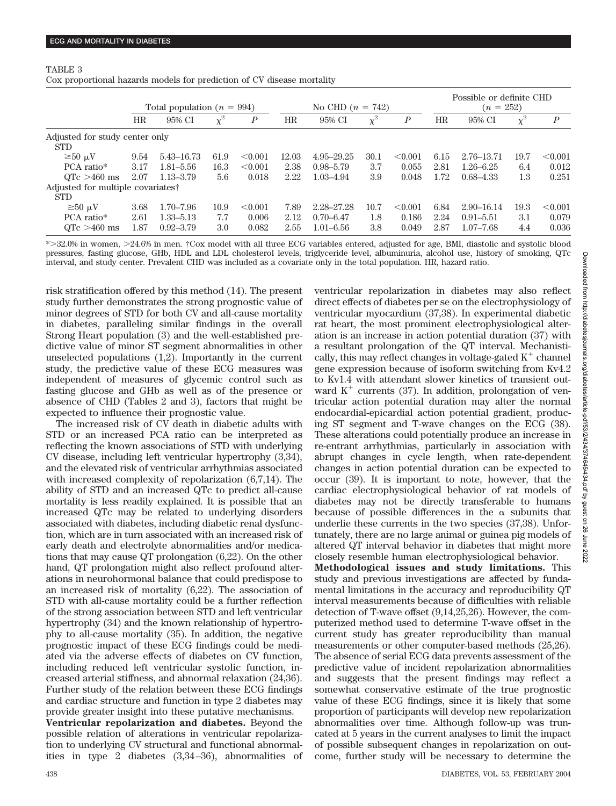#### TABLE 3

Cox proportional hazards models for prediction of CV disease mortality

|                                               |                                |               |          |                  |       |                    |          |                  |      | Possible or definite CHD |          |                  |  |
|-----------------------------------------------|--------------------------------|---------------|----------|------------------|-------|--------------------|----------|------------------|------|--------------------------|----------|------------------|--|
|                                               | Total population ( $n = 994$ ) |               |          |                  |       | No CHD $(n = 742)$ |          |                  |      | $(n = 252)$              |          |                  |  |
|                                               | HR                             | 95% CI        | $\chi^2$ | $\boldsymbol{P}$ | HR    | 95% CI             | $\chi^2$ | $\boldsymbol{P}$ | HR   | 95% CI                   | $\chi^2$ | $\boldsymbol{P}$ |  |
| Adjusted for study center only                |                                |               |          |                  |       |                    |          |                  |      |                          |          |                  |  |
| <b>STD</b>                                    |                                |               |          |                  |       |                    |          |                  |      |                          |          |                  |  |
| $\geq 50 \mu V$                               | 9.54                           | 5.43-16.73    | 61.9     | < 0.001          | 12.03 | 4.95-29.25         | 30.1     | < 0.001          | 6.15 | 2.76-13.71               | 19.7     | < 0.001          |  |
| PCA ratio*                                    | 3.17                           | $1.81 - 5.56$ | 16.3     | < 0.001          | 2.38  | $0.98 - 5.79$      | 3.7      | 0.055            | 2.81 | $1.26 - 6.25$            | 6.4      | 0.012            |  |
| $QTc > 460$ ms                                | 2.07                           | $1.13 - 3.79$ | 5.6      | 0.018            | 2.22  | 1.03-4.94          | 3.9      | 0.048            | 1.72 | $0.68 - 4.33$            | 1.3      | 0.251            |  |
| Adjusted for multiple covariates <sup>†</sup> |                                |               |          |                  |       |                    |          |                  |      |                          |          |                  |  |
| <b>STD</b>                                    |                                |               |          |                  |       |                    |          |                  |      |                          |          |                  |  |
| $\geq 50 \mu V$                               | 3.68                           | $1.70 - 7.96$ | 10.9     | < 0.001          | 7.89  | 2.28-27.28         | 10.7     | < 0.001          | 6.84 | $2.90 - 16.14$           | 19.3     | < 0.001          |  |
| PCA ratio*                                    | 2.61                           | 1.33–5.13     | 7.7      | 0.006            | 2.12  | $0.70 - 6.47$      | 1.8      | 0.186            | 2.24 | $0.91 - 5.51$            | 3.1      | 0.079            |  |
| $QTc > 460$ ms                                | 1.87                           | $0.92 - 3.79$ | 3.0      | 0.082            | 2.55  | $1.01 - 6.56$      | 3.8      | 0.049            | 2.87 | $1.07 - 7.68$            | 4.4      | 0.036            |  |

\*32.0% in women, 24.6% in men. †Cox model with all three ECG variables entered, adjusted for age, BMI, diastolic and systolic blood pressures, fasting glucose, GHb, HDL and LDL cholesterol levels, triglyceride level, albuminuria, alcohol use, history of smoking, QTc interval, and study center. Prevalent CHD was included as a covariate only in the total population. HR, hazard ratio.

risk stratification offered by this method (14). The present study further demonstrates the strong prognostic value of minor degrees of STD for both CV and all-cause mortality in diabetes, paralleling similar findings in the overall Strong Heart population (3) and the well-established predictive value of minor ST segment abnormalities in other unselected populations (1,2). Importantly in the current study, the predictive value of these ECG measures was independent of measures of glycemic control such as fasting glucose and GHb as well as of the presence or absence of CHD (Tables 2 and 3), factors that might be expected to influence their prognostic value.

The increased risk of CV death in diabetic adults with STD or an increased PCA ratio can be interpreted as reflecting the known associations of STD with underlying CV disease, including left ventricular hypertrophy (3,34), and the elevated risk of ventricular arrhythmias associated with increased complexity of repolarization (6,7,14). The ability of STD and an increased QTc to predict all-cause mortality is less readily explained. It is possible that an increased QTc may be related to underlying disorders associated with diabetes, including diabetic renal dysfunction, which are in turn associated with an increased risk of early death and electrolyte abnormalities and/or medications that may cause QT prolongation (6,22). On the other hand, QT prolongation might also reflect profound alterations in neurohormonal balance that could predispose to an increased risk of mortality (6,22). The association of STD with all-cause mortality could be a further reflection of the strong association between STD and left ventricular hypertrophy (34) and the known relationship of hypertrophy to all-cause mortality (35). In addition, the negative prognostic impact of these ECG findings could be mediated via the adverse effects of diabetes on CV function, including reduced left ventricular systolic function, increased arterial stiffness, and abnormal relaxation (24,36). Further study of the relation between these ECG findings and cardiac structure and function in type 2 diabetes may provide greater insight into these putative mechanisms.

**Ventricular repolarization and diabetes.** Beyond the possible relation of alterations in ventricular repolarization to underlying CV structural and functional abnormalities in type 2 diabetes (3,34–36), abnormalities of ventricular repolarization in diabetes may also reflect direct effects of diabetes per se on the electrophysiology of ventricular myocardium (37,38). In experimental diabetic rat heart, the most prominent electrophysiological alteration is an increase in action potential duration (37) with a resultant prolongation of the QT interval. Mechanistically, this may reflect changes in voltage-gated  $K^+$  channel gene expression because of isoform switching from Kv4.2 to Kv1.4 with attendant slower kinetics of transient outward  $K^+$  currents (37). In addition, prolongation of ventricular action potential duration may alter the normal endocardial-epicardial action potential gradient, producing ST segment and T-wave changes on the ECG (38). These alterations could potentially produce an increase in re-entrant arrhythmias, particularly in association with abrupt changes in cycle length, when rate-dependent changes in action potential duration can be expected to occur (39). It is important to note, however, that the cardiac electrophysiological behavior of rat models of diabetes may not be directly transferable to humans because of possible differences in the  $\alpha$  subunits that underlie these currents in the two species (37,38). Unfortunately, there are no large animal or guinea pig models of altered QT interval behavior in diabetes that might more closely resemble human electrophysiological behavior.

**Methodological issues and study limitations.** This study and previous investigations are affected by fundamental limitations in the accuracy and reproducibility QT interval measurements because of difficulties with reliable detection of T-wave offset (9,14,25,26). However, the computerized method used to determine T-wave offset in the current study has greater reproducibility than manual measurements or other computer-based methods (25,26). The absence of serial ECG data prevents assessment of the predictive value of incident repolarization abnormalities and suggests that the present findings may reflect a somewhat conservative estimate of the true prognostic value of these ECG findings, since it is likely that some proportion of participants will develop new repolarization abnormalities over time. Although follow-up was truncated at 5 years in the current analyses to limit the impact of possible subsequent changes in repolarization on outcome, further study will be necessary to determine the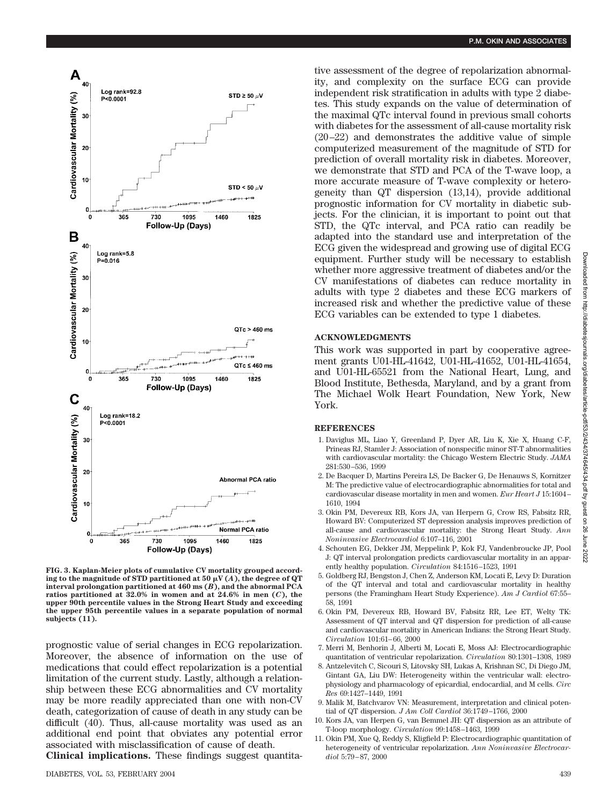

**FIG. 3. Kaplan-Meier plots of cumulative CV mortality grouped accord**ing to the magnitude of STD partitioned at 50  $\mu$ V (*A*), the degree of QT **interval prolongation partitioned at 460 ms (***B***), and the abnormal PCA ratios partitioned at 32.0% in women and at 24.6% in men (***C***), the upper 90th percentile values in the Strong Heart Study and exceeding the upper 95th percentile values in a separate population of normal subjects (11).**

prognostic value of serial changes in ECG repolarization. Moreover, the absence of information on the use of medications that could effect repolarization is a potential limitation of the current study. Lastly, although a relationship between these ECG abnormalities and CV mortality may be more readily appreciated than one with non-CV death, categorization of cause of death in any study can be difficult (40). Thus, all-cause mortality was used as an additional end point that obviates any potential error associated with misclassification of cause of death.

**Clinical implications.** These findings suggest quantita-

tive assessment of the degree of repolarization abnormality, and complexity on the surface ECG can provide independent risk stratification in adults with type 2 diabetes. This study expands on the value of determination of the maximal QTc interval found in previous small cohorts with diabetes for the assessment of all-cause mortality risk (20–22) and demonstrates the additive value of simple computerized measurement of the magnitude of STD for prediction of overall mortality risk in diabetes. Moreover, we demonstrate that STD and PCA of the T-wave loop, a more accurate measure of T-wave complexity or heterogeneity than QT dispersion (13,14), provide additional prognostic information for CV mortality in diabetic subjects. For the clinician, it is important to point out that STD, the QTc interval, and PCA ratio can readily be adapted into the standard use and interpretation of the ECG given the widespread and growing use of digital ECG equipment. Further study will be necessary to establish whether more aggressive treatment of diabetes and/or the CV manifestations of diabetes can reduce mortality in adults with type 2 diabetes and these ECG markers of increased risk and whether the predictive value of these ECG variables can be extended to type 1 diabetes.

## **ACKNOWLEDGMENTS**

This work was supported in part by cooperative agreement grants U01-HL-41642, U01-HL-41652, U01-HL-41654, and U01-HL-65521 from the National Heart, Lung, and Blood Institute, Bethesda, Maryland, and by a grant from The Michael Wolk Heart Foundation, New York, New York.

#### **REFERENCES**

- 1. Daviglus ML, Liao Y, Greenland P, Dyer AR, Liu K, Xie X, Huang C-F, Prineas RJ, Stamler J: Association of nonspecific minor ST-T abnormalities with cardiovascular mortality: the Chicago Western Electric Study. *JAMA* 281:530–536, 1999
- 2. De Bacquer D, Martins Pereira LS, De Backer G, De Henauws S, Kornitzer M: The predictive value of electrocardiographic abnormalities for total and cardiovascular disease mortality in men and women. *Eur Heart J* 15:1604– 1610, 1994
- 3. Okin PM, Devereux RB, Kors JA, van Herpern G, Crow RS, Fabsitz RR, Howard BV: Computerized ST depression analysis improves prediction of all-cause and cardiovascular mortality: the Strong Heart Study. *Ann Noninvasive Electrocardiol* 6:107–116, 2001
- 4. Schouten EG, Dekker JM, Meppelink P, Kok FJ, Vandenbroucke JP, Pool J: QT interval prolongation predicts cardiovascular mortality in an apparently healthy population. *Circulation* 84:1516–1523, 1991
- 5. Goldberg RJ, Bengston J, Chen Z, Anderson KM, Locati E, Levy D: Duration of the QT interval and total and cardiovascular mortality in healthy persons (the Framingham Heart Study Experience). *Am J Cardiol* 67:55– 58, 1991
- 6. Okin PM, Devereux RB, Howard BV, Fabsitz RR, Lee ET, Welty TK: Assessment of QT interval and QT dispersion for prediction of all-cause and cardiovascular mortality in American Indians: the Strong Heart Study. *Circulation* 101:61–66, 2000
- 7. Merri M, Benhorin J, Alberti M, Locati E, Moss AJ: Electrocardiographic quantitation of ventricular repolarization. *Circulation* 80:1301–1308, 1989
- 8. Antzelevitch C, Sicouri S, Litovsky SH, Lukas A, Krishnan SC, Di Diego JM, Gintant GA, Liu DW: Heterogeneity within the ventricular wall: electrophysiology and pharmacology of epicardial, endocardial, and M cells. *Circ Res* 69:1427–1449, 1991
- 9. Malik M, Batchvarov VN: Measurement, interpretation and clinical potential of QT dispersion. *J Am Coll Cardiol* 36:1749–1766, 2000
- 10. Kors JA, van Herpen G, van Bemmel JH: QT dispersion as an attribute of T-loop morphology. *Circulation* 99:1458–1463, 1999
- 11. Okin PM, Xue Q, Reddy S, Kligfield P: Electrocardiographic quantitation of heterogeneity of ventricular repolarization. *Ann Noninvasive Electrocardiol* 5:79–87, 2000